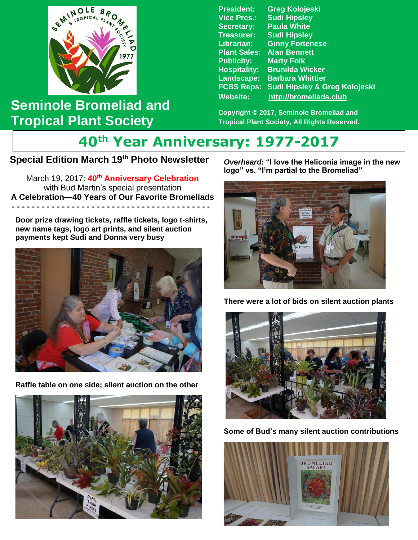

## **Seminole Bromeliad and Tropical Plant Society**

**President: Greg Kolojeski Vice Pres.: Sudi Hipsley Secretary: Paula White Treasurer: Sudi Hipsley Librarian: Ginny Fortenese Plant Sales: Alan Bennett Publicity: Marty Folk Hospitality: Brunilda Wicker Landscape: Barbara Whittier FCBS Reps: Sudi Hipsley & Greg Kolojeski Website: [http://bromeliads.club](http://bromeliads.club/)**

**Copyright © 2017, Seminole Bromeliad and Tropical Plant Society, All Rights Reserved.**

## **40th Year Anniversary: 1977-2017**

## **Special Edition March 19th Photo Newsletter**

with Bud Martin's special presentation  **-----------------------------** March 19, 2017: **40th Anniversary Celebration A Celebration—40 Years of Our Favorite Bromeliads - - - - - - - - - - - - - - - - - - - - - - - - - - - - - - - - - - - - - - - -**

**Door prize drawing tickets, raffle tickets, logo t-shirts, new name tags, logo art prints, and silent auction payments kept Sudi and Donna very busy**



**Raffle table on one side; silent auction on the other**



*Overheard:* **"I love the Heliconia image in the new logo" vs. "I'm partial to the Bromeliad"**



**There were a lot of bids on silent auction plants**



**Some of Bud's many silent auction contributions**